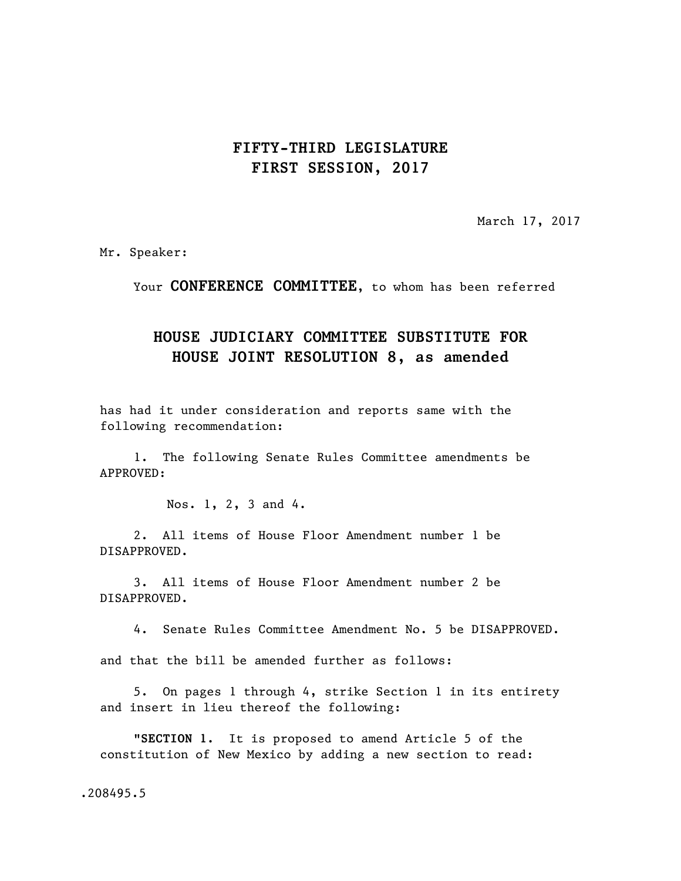## **FIFTY-THIRD LEGISLATURE FIRST SESSION, 2017**

March 17, 2017

Mr. Speaker:

Your **CONFERENCE COMMITTEE**, to whom has been referred

## **HOUSE JUDICIARY COMMITTEE SUBSTITUTE FOR HOUSE JOINT RESOLUTION 8, as amended**

has had it under consideration and reports same with the following recommendation:

1. The following Senate Rules Committee amendments be APPROVED:

Nos. 1, 2, 3 and 4.

2. All items of House Floor Amendment number 1 be DISAPPROVED.

3. All items of House Floor Amendment number 2 be DISAPPROVED.

4. Senate Rules Committee Amendment No. 5 be DISAPPROVED.

and that the bill be amended further as follows:

5. On pages 1 through 4, strike Section 1 in its entirety and insert in lieu thereof the following:

"**SECTION 1.** It is proposed to amend Article 5 of the constitution of New Mexico by adding a new section to read:

.208495.5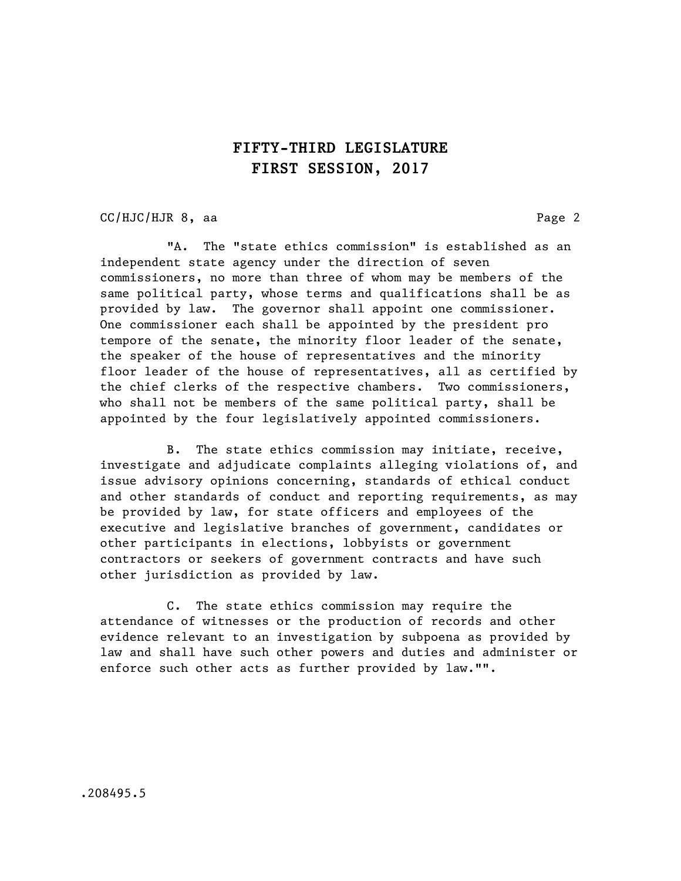## **FIFTY-THIRD LEGISLATURE FIRST SESSION, 2017**

CC/HJC/HJR 8, aa Page 2

"A. The "state ethics commission" is established as an independent state agency under the direction of seven commissioners, no more than three of whom may be members of the same political party, whose terms and qualifications shall be as provided by law. The governor shall appoint one commissioner. One commissioner each shall be appointed by the president pro tempore of the senate, the minority floor leader of the senate, the speaker of the house of representatives and the minority floor leader of the house of representatives, all as certified by the chief clerks of the respective chambers. Two commissioners, who shall not be members of the same political party, shall be appointed by the four legislatively appointed commissioners.

B. The state ethics commission may initiate, receive, investigate and adjudicate complaints alleging violations of, and issue advisory opinions concerning, standards of ethical conduct and other standards of conduct and reporting requirements, as may be provided by law, for state officers and employees of the executive and legislative branches of government, candidates or other participants in elections, lobbyists or government contractors or seekers of government contracts and have such other jurisdiction as provided by law.

C. The state ethics commission may require the attendance of witnesses or the production of records and other evidence relevant to an investigation by subpoena as provided by law and shall have such other powers and duties and administer or enforce such other acts as further provided by law."".